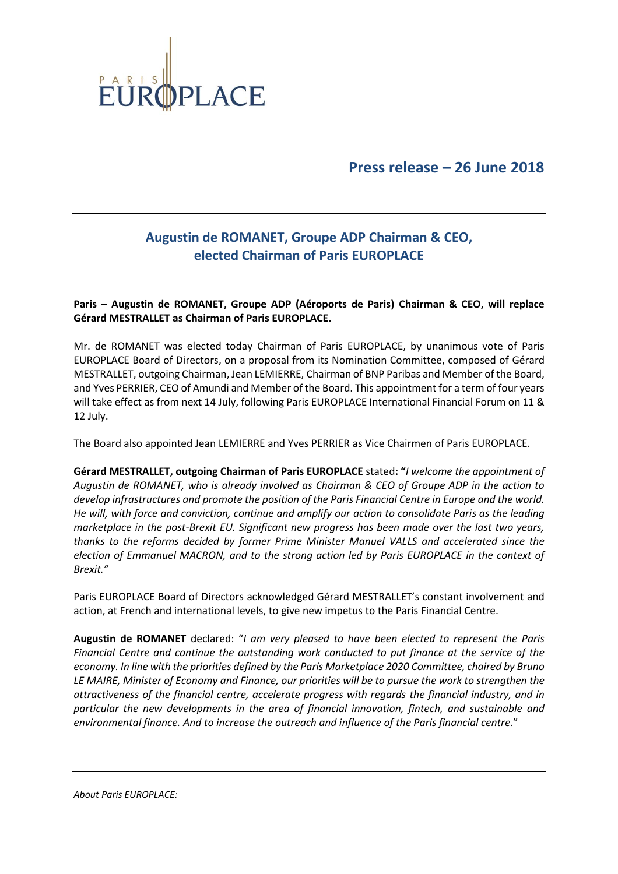

**Press release – 26 June 2018**

## **Augustin de ROMANET, Groupe ADP Chairman & CEO, elected Chairman of Paris EUROPLACE**

**Paris** – **Augustin de ROMANET, Groupe ADP (Aéroports de Paris) Chairman & CEO, will replace Gérard MESTRALLET as Chairman of Paris EUROPLACE.**

Mr. de ROMANET was elected today Chairman of Paris EUROPLACE, by unanimous vote of Paris EUROPLACE Board of Directors, on a proposal from its Nomination Committee, composed of Gérard MESTRALLET, outgoing Chairman, Jean LEMIERRE, Chairman of BNP Paribas and Member of the Board, and Yves PERRIER, CEO of Amundi and Member of the Board. This appointment for a term of four years will take effect as from next 14 July, following Paris EUROPLACE International Financial Forum on 11 & 12 July.

The Board also appointed Jean LEMIERRE and Yves PERRIER as Vice Chairmen of Paris EUROPLACE.

**Gérard MESTRALLET, outgoing Chairman of Paris EUROPLACE** stated**: "***I welcome the appointment of Augustin de ROMANET, who is already involved as Chairman & CEO of Groupe ADP in the action to develop infrastructures and promote the position of the Paris Financial Centre in Europe and the world. He will, with force and conviction, continue and amplify our action to consolidate Paris as the leading marketplace in the post-Brexit EU. Significant new progress has been made over the last two years, thanks to the reforms decided by former Prime Minister Manuel VALLS and accelerated since the election of Emmanuel MACRON, and to the strong action led by Paris EUROPLACE in the context of Brexit."*

Paris EUROPLACE Board of Directors acknowledged Gérard MESTRALLET's constant involvement and action, at French and international levels, to give new impetus to the Paris Financial Centre.

**Augustin de ROMANET** declared: "*I am very pleased to have been elected to represent the Paris Financial Centre and continue the outstanding work conducted to put finance at the service of the economy. In line with the priorities defined by the Paris Marketplace 2020 Committee, chaired by Bruno LE MAIRE, Minister of Economy and Finance, our priorities will be to pursue the work to strengthen the attractiveness of the financial centre, accelerate progress with regards the financial industry, and in particular the new developments in the area of financial innovation, fintech, and sustainable and environmental finance. And to increase the outreach and influence of the Paris financial centre*."

*About Paris EUROPLACE:*